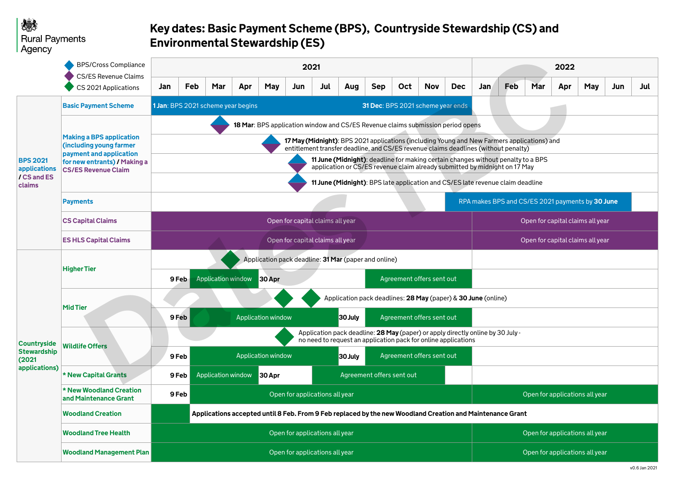|                                                                     | <b>BPS/Cross Compliance</b><br><b>CS/ES Revenue Claims</b><br>CS 2021 Applications                                                                  | 2021                                                                                                                                                                               |                                                           |                    |     |                           |     |     |            |            |                                                  |                                | 2022                                                          |            |     |     |     |            |     |     |
|---------------------------------------------------------------------|-----------------------------------------------------------------------------------------------------------------------------------------------------|------------------------------------------------------------------------------------------------------------------------------------------------------------------------------------|-----------------------------------------------------------|--------------------|-----|---------------------------|-----|-----|------------|------------|--------------------------------------------------|--------------------------------|---------------------------------------------------------------|------------|-----|-----|-----|------------|-----|-----|
|                                                                     |                                                                                                                                                     | Jan                                                                                                                                                                                | Feb                                                       | Mar                | Apr | <b>May</b>                | Jun | Jul | <b>Aug</b> | <b>Sep</b> | Oct                                              | <b>Nov</b>                     | <b>Dec</b>                                                    | <b>Jan</b> | Feb | Mar | Apr | <b>May</b> | Jun | Jul |
| <b>BPS 2021</b><br>applications<br>/ CS and ES<br>claims            | <b>Basic Payment Scheme</b>                                                                                                                         | <b>1 Jan: BPS 2021 scheme year begins</b><br>31 Dec: BPS 2021 scheme year ends                                                                                                     |                                                           |                    |     |                           |     |     |            |            |                                                  |                                |                                                               |            |     |     |     |            |     |     |
|                                                                     | <b>Making a BPS application</b><br>(including young farmer<br>payment and application<br>for new entrants) / Making a<br><b>CS/ES Revenue Claim</b> | 18 Mar: BPS application window and CS/ES Revenue claims submission period opens                                                                                                    |                                                           |                    |     |                           |     |     |            |            |                                                  |                                |                                                               |            |     |     |     |            |     |     |
|                                                                     |                                                                                                                                                     | 17 May (Midnight): BPS 2021 applications (including Young and New Farmers applications) and<br>entitlement transfer deadline, and CS/ES revenue claims deadlines (without penalty) |                                                           |                    |     |                           |     |     |            |            |                                                  |                                |                                                               |            |     |     |     |            |     |     |
|                                                                     |                                                                                                                                                     | <b>11 June (Midnight)</b> : deadline for making certain changes without penalty to a BPS<br>application or CS/ES revenue claim already submitted by midnight on 17 May             |                                                           |                    |     |                           |     |     |            |            |                                                  |                                |                                                               |            |     |     |     |            |     |     |
|                                                                     |                                                                                                                                                     | 11 June (Midnight): BPS late application and CS/ES late revenue claim deadline                                                                                                     |                                                           |                    |     |                           |     |     |            |            |                                                  |                                |                                                               |            |     |     |     |            |     |     |
|                                                                     | <b>Payments</b>                                                                                                                                     |                                                                                                                                                                                    |                                                           |                    |     |                           |     |     |            |            | RPA makes BPS and CS/ES 2021 payments by 30 June |                                |                                                               |            |     |     |     |            |     |     |
|                                                                     | <b>CS Capital Claims</b>                                                                                                                            | Open for capital claims all year                                                                                                                                                   |                                                           |                    |     |                           |     |     |            |            | Open for capital claims all year                 |                                |                                                               |            |     |     |     |            |     |     |
|                                                                     | <b>ES HLS Capital Claims</b>                                                                                                                        | Open for capital claims all year                                                                                                                                                   |                                                           |                    |     |                           |     |     |            |            | Open for capital claims all year                 |                                |                                                               |            |     |     |     |            |     |     |
|                                                                     | <b>Higher Tier</b>                                                                                                                                  | Application pack deadline: 31 Mar (paper and online)                                                                                                                               |                                                           |                    |     |                           |     |     |            |            |                                                  |                                |                                                               |            |     |     |     |            |     |     |
|                                                                     |                                                                                                                                                     | 9 Feb                                                                                                                                                                              |                                                           | Application window |     | 30 Apr                    |     |     |            |            |                                                  | Agreement offers sent out      |                                                               |            |     |     |     |            |     |     |
|                                                                     |                                                                                                                                                     |                                                                                                                                                                                    |                                                           |                    |     |                           |     |     |            |            |                                                  |                                | Application pack deadlines: 28 May (paper) & 30 June (online) |            |     |     |     |            |     |     |
| <b>Countryside</b><br><b>Stewardship</b><br>(2021)<br>applications) | <b>Mid Tier</b>                                                                                                                                     | 9 Feb                                                                                                                                                                              |                                                           |                    |     | <b>Application window</b> |     |     | 30 July    |            |                                                  | Agreement offers sent out      |                                                               |            |     |     |     |            |     |     |
|                                                                     | <b>Wildlife Offers</b>                                                                                                                              | Application pack deadline: 28 May (paper) or apply directly online by 30 July -<br>no need to request an application pack for online applications                                  |                                                           |                    |     |                           |     |     |            |            |                                                  |                                |                                                               |            |     |     |     |            |     |     |
|                                                                     |                                                                                                                                                     | 9 Feb                                                                                                                                                                              |                                                           |                    |     | Application window        |     |     | 30 July    |            |                                                  | Agreement offers sent out      |                                                               |            |     |     |     |            |     |     |
|                                                                     | * New Capital Grants                                                                                                                                | 9 Feb                                                                                                                                                                              | Application window<br>Agreement offers sent out<br>30 Apr |                    |     |                           |     |     |            |            |                                                  |                                |                                                               |            |     |     |     |            |     |     |
|                                                                     | * New Woodland Creation<br>and Maintenance Grant                                                                                                    |                                                                                                                                                                                    | 9 Feb<br>Open for applications all year                   |                    |     |                           |     |     |            |            |                                                  | Open for applications all year |                                                               |            |     |     |     |            |     |     |
|                                                                     | <b>Woodland Creation</b>                                                                                                                            | Applications accepted until 8 Feb. From 9 Feb replaced by the new Woodland Creation and Maintenance Grant                                                                          |                                                           |                    |     |                           |     |     |            |            |                                                  |                                |                                                               |            |     |     |     |            |     |     |
|                                                                     | <b>Woodland Tree Health</b>                                                                                                                         | Open for applications all year                                                                                                                                                     |                                                           |                    |     |                           |     |     |            |            | Open for applications all year                   |                                |                                                               |            |     |     |     |            |     |     |
|                                                                     | <b>Woodland Management Plan</b>                                                                                                                     | Open for applications all year                                                                                                                                                     |                                                           |                    |     |                           |     |     |            |            | Open for applications all year                   |                                |                                                               |            |     |     |     |            |     |     |

|                                   |                                    | 2022 |                                  |     |     |  |  |  |  |
|-----------------------------------|------------------------------------|------|----------------------------------|-----|-----|--|--|--|--|
| eb                                | Mar                                | Apr  | <b>May</b>                       | Jun | Jul |  |  |  |  |
|                                   |                                    |      |                                  |     |     |  |  |  |  |
| enalty)                           | applications) and<br>alty to a BPS |      |                                  |     |     |  |  |  |  |
| n 17 May                          | im deadline                        |      |                                  |     |     |  |  |  |  |
| nd CS/ES 2021 payments by 30 June |                                    |      |                                  |     |     |  |  |  |  |
| Open for capital claims all year  |                                    |      |                                  |     |     |  |  |  |  |
|                                   |                                    |      | Open for capital claims all year |     |     |  |  |  |  |
|                                   |                                    |      |                                  |     |     |  |  |  |  |
|                                   |                                    |      |                                  |     |     |  |  |  |  |
|                                   |                                    |      |                                  |     |     |  |  |  |  |
|                                   |                                    |      |                                  |     |     |  |  |  |  |
| uly -                             |                                    |      |                                  |     |     |  |  |  |  |
|                                   |                                    |      |                                  |     |     |  |  |  |  |
|                                   |                                    |      |                                  |     |     |  |  |  |  |
|                                   |                                    |      | Open for applications all year   |     |     |  |  |  |  |
| Grant                             |                                    |      |                                  |     |     |  |  |  |  |
|                                   |                                    |      | Open for applications all year   |     |     |  |  |  |  |
|                                   |                                    |      | Open for applications all year   |     |     |  |  |  |  |

# 想 **Rural Payments** Agency

# **Key dates: Basic Payment Scheme (BPS), Countryside Stewardship (CS) and Environmental Stewardship (ES)**